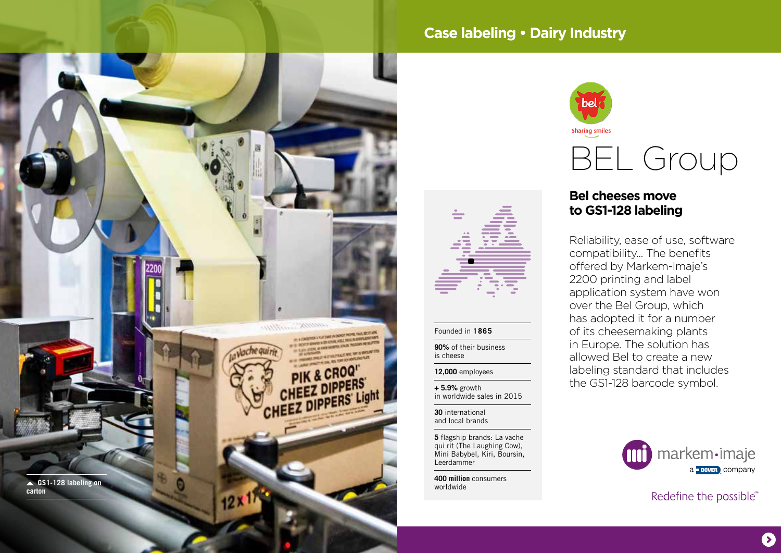

# **Case labeling • Dairy Industry**



## **Bel cheeses move to GS1-128 labeling**

Reliability, ease of use, software compatibility... The benefits offered by Markem-Imaje's 2200 printing and label application system have won over the Bel Group, which has adopted it for a number of its cheesemaking plants in Europe. The solution has allowed Bel to create a new labeling standard that includes the GS1-128 barcode symbol.

**30** international and local brands

Founded in **1865 90%** of their business

**12,000** employees **+ 5.9%** growth

is cheese

**5** flagship brands: La vache qui rit (The Laughing Cow), Mini Babybel, Kiri, Boursin, Leerdammer

in worldwide sales in 2015

**400 million** consumers



Redefine the possible®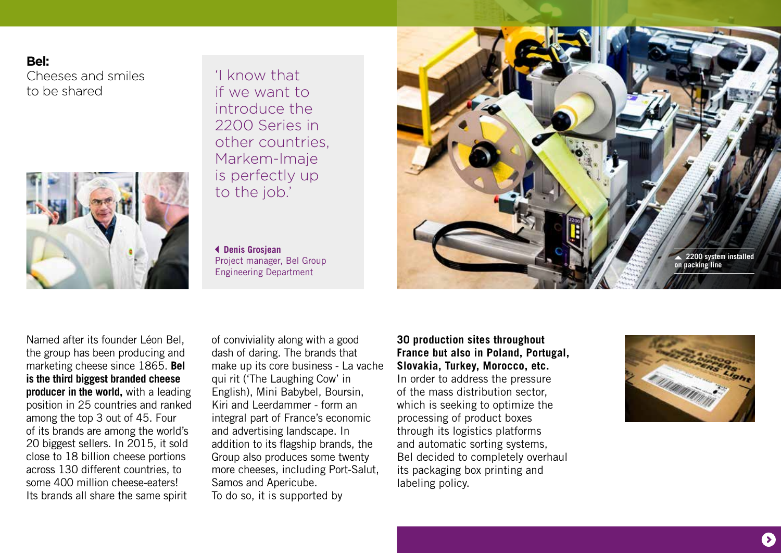### **Bel:**

Cheeses and smiles to be shared



'I know that if we want to introduce the 2200 Series in other countries, Markem-Imaje is perfectly up to the job.'

 **Denis Grosjean** Project manager, Bel Group Engineering Department



Named after its founder Léon Bel, the group has been producing and marketing cheese since 1865. **Bel is the third biggest branded cheese producer in the world,** with a leading position in 25 countries and ranked among the top 3 out of 45. Four of its brands are among the world's 20 biggest sellers. In 2015, it sold close to 18 billion cheese portions across 130 different countries, to some 400 million cheese-eaters! Its brands all share the same spirit

of conviviality along with a good dash of daring. The brands that make up its core business - La vache qui rit ('The Laughing Cow' in English), Mini Babybel, Boursin, Kiri and Leerdammer - form an integral part of France's economic and advertising landscape. In addition to its flagship brands, the Group also produces some twenty more cheeses, including Port-Salut, Samos and Apericube. To do so, it is supported by

**30 production sites throughout France but also in Poland, Portugal, Slovakia, Turkey, Morocco, etc.** In order to address the pressure of the mass distribution sector, which is seeking to optimize the processing of product boxes through its logistics platforms and automatic sorting systems, Bel decided to completely overhaul its packaging box printing and labeling policy.